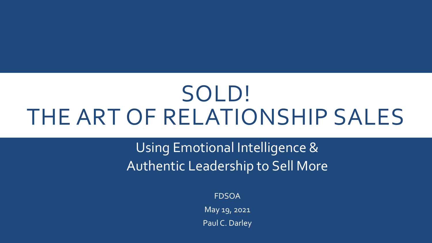# SOLD! THE ART OF RELATIONSHIP SALES

Using Emotional Intelligence & Authentic Leadership to Sell More

FDSOA

May 19, 2021

Paul C. Darley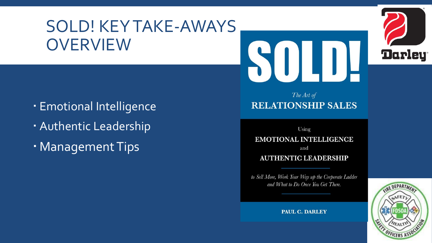## SOLD! KEY TAKE-AWAYS **OVERVIEW**





- Emotional Intelligence
- Authentic Leadership
- Management Tips

## The Art of **RELATIONSHIP SALES**

Using

### **EMOTIONAL INTELLIGENCE**

and

### **AUTHENTIC LEADERSHIP**

to Sell More, Work Your Way up the Corporate Ladder and What to Do Once You Get There.

**REDEPARTA** OFFICERS AS

**PAUL C. DARLEY**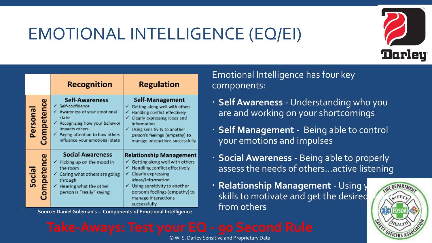## EMOTIONAL INTELLIGENCE (EQ/EI)



|                              | <b>Recognition</b>                                                                                                                                                                                                         | <b>Regulation</b>                                                                                                                                                                                                                                                  |
|------------------------------|----------------------------------------------------------------------------------------------------------------------------------------------------------------------------------------------------------------------------|--------------------------------------------------------------------------------------------------------------------------------------------------------------------------------------------------------------------------------------------------------------------|
| <b>Competence</b><br>Persona | <b>Self-Awareness</b><br>√ Self-confidence<br>← Awareness of your emotional<br>state<br>← Recognizing how your behavior<br>impacts others<br>$\checkmark$ Paying attention to how others<br>influence your emotional state | Self-Management<br>$\checkmark$ Getting along well with others<br>Handling conflict effectively<br>✓<br>Clearly expressing ideas and<br>information<br>Using sensitivity to another<br>✓<br>person's feelings (empathy) to<br>manage interactions successfully     |
| Competence<br>Socia          | <b>Social Awareness</b><br>$\checkmark$ Picking up on the mood in<br>the room<br>$\checkmark$ Caring what others are going<br>through<br>$\checkmark$ Hearing what the other<br>person is "really" saying                  | <b>Relationship Management</b><br>$\checkmark$ Getting along well with others<br>Handling conflict effectively<br>Clearly expressing<br>ideas/information<br>Using sensitivity to another<br>person's feelings (empathy) to<br>manage interactions<br>successfully |

**from Source: Daniel Goleman's - Components of Emotional Intelligence** 

Emotional Intelligence has four key components:

- **Self Awareness**  Understanding who you are and working on your shortcomings
- **Self Management**  Being able to control your emotions and impulses
- **Social Awareness**  Being able to properly assess the needs of others…active listening
- **Relationship Management Using your** skills to motivate and get the desired<br>from others

© W. S. Darley Sensitive and Proprietary Data

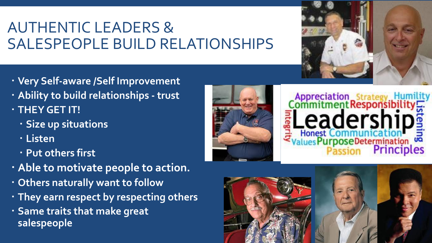## AUTHENTIC LEADERS & SALESPEOPLE BUILD RELATIONSHIPS



- **Very Self-aware /Self Improvement**
- **Ability to build relationships - trust**
- **THEY GET IT!** 
	- **Size up situations**
	- **Listen**
	- **Put others first**
- **Able to motivate people to action.**
- **Others naturally want to follow**
- **They earn respect by respecting others**
- **Same traits that make great salespeople**





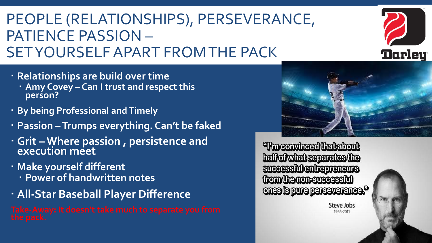## PEOPLE (RELATIONSHIPS), PERSEVERANCE, PATIENCE PASSION – SET YOURSELF APART FROM THE PACK

- **Relationships are build over time** 
	- **Amy Covey – Can I trust and respect this person?**
- **By being Professional and Timely**
- **Passion –Trumps everything. Can't be faked**
- **Grit – Where passion , persistence and execution meet**
- **Make yourself different** 
	- **Power of handwritten notes**
- **All-Star Baseball Player Difference**

**Theonyineed that about** halfofwhat separates the **successiblentrepreneurs trom the non-successivi** ones brune perseverance.<sup>19</sup>





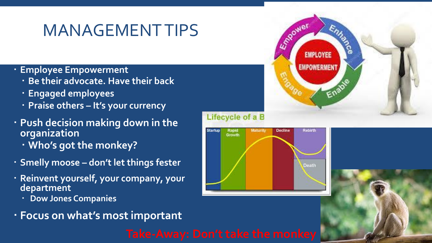## MANAGEMENT TIPS

- **Employee Empowerment** 
	- **Be their advocate. Have their back**
	- **Engaged employees**
	- **Praise others – It's your currency**
- **Push decision making down in the organization**
	- **Who's got the monkey?**
- **Smelly moose – don't let things fester**
- **Reinvent yourself, your company, your department** 
	- **Dow Jones Companies**
- **Focus on what's most important**





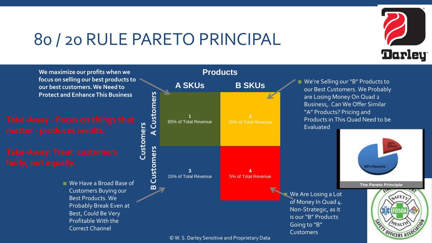## 80 / 20 RULE PARETO PRINCIPAL



■ We Have a Broad Base of Customers Buying our Best Products. We Probably Break Even at Best, Could Be Very Profitable With the Correct Channel



© W. S. Darley Sensitive and Proprietary Data



We're Selling our "B" Products to our Best Customers. We Probably are Losing Money On Quad 2 Business,. Can We Offer Similar "A" Products? Pricing and Products in This Quad Need to be Evaluated

Going to "B" **Customers** 



**The Pareto Principle** 

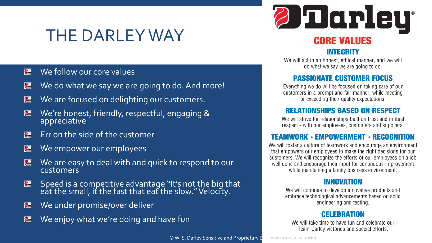## THE DARLEY WAY

### We follow our core values 2

- We do what we say we are going to do. And more! 2
- We are focused on delighting our customers. 2
- We're honest, friendly, respectful, engaging & 2 appreciative
- Err on the side of the customer 2
- We empower our employees 2
- We are easy to deal with and quick to respond to our 2 customers
- 2 Speed is a competitive advantage "It's not the big that eat the small, it the fast that eat the slow." Velocity.
- We under promise/over deliver 2
- We enjoy what we're doing and have fun



### **INTEGRITY**

We will act in an honest, ethical manner, and we will do what we say we are going to do.

### **PASSIONATE CUSTOMER FOCUS**

Everything we do will be focused on taking care of our customers in a prompt and fair manner, while meeting or exceeding their quality expectations.

### **RELATIONSHIPS BASED ON RESPECT**

We will strive for relationships built on trust and mutual respect - with our employees, customers and suppliers.

## **TEAMWORK · EMPOWERMENT · RECOGNITION**

We will foster a culture of teamwork and encourage an environment that empowers our employees to make the right decisions for our customers. We will recognize the efforts of our employees on a job well done and encourage their input for continuous improvement while maintaining a family business environment.

### **INNOVATION**

We will continue to develop innovative products and embrace technological advancements based on solid engineering and testing.

### **CELEBRATION**

We will take time to have fun and celebrate our Team Darley victories and special efforts.